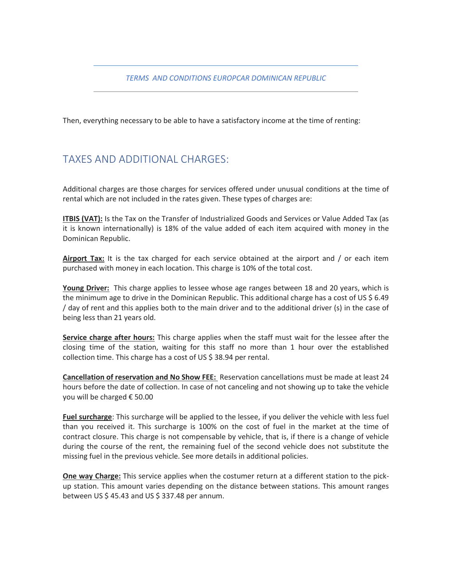*TERMS AND CONDITIONS EUROPCAR DOMINICAN REPUBLIC*

Then, everything necessary to be able to have a satisfactory income at the time of renting:

### TAXES AND ADDITIONAL CHARGES:

Additional charges are those charges for services offered under unusual conditions at the time of rental which are not included in the rates given. These types of charges are:

**ITBIS (VAT):** Is the Tax on the Transfer of Industrialized Goods and Services or Value Added Tax (as it is known internationally) is 18% of the value added of each item acquired with money in the Dominican Republic.

**Airport Tax:** It is the tax charged for each service obtained at the airport and / or each item purchased with money in each location. This charge is 10% of the total cost.

**Young Driver:** This charge applies to lessee whose age ranges between 18 and 20 years, which is the minimum age to drive in the Dominican Republic. This additional charge has a cost of US \$ 6.49 / day of rent and this applies both to the main driver and to the additional driver (s) in the case of being less than 21 years old.

**Service charge after hours:** This charge applies when the staff must wait for the lessee after the closing time of the station, waiting for this staff no more than 1 hour over the established collection time. This charge has a cost of US \$ 38.94 per rental.

**Cancellation of reservation and No Show FEE:** Reservation cancellations must be made at least 24 hours before the date of collection. In case of not canceling and not showing up to take the vehicle you will be charged € 50.00

**Fuel surcharge**: This surcharge will be applied to the lessee, if you deliver the vehicle with less fuel than you received it. This surcharge is 100% on the cost of fuel in the market at the time of contract closure. This charge is not compensable by vehicle, that is, if there is a change of vehicle during the course of the rent, the remaining fuel of the second vehicle does not substitute the missing fuel in the previous vehicle. See more details in additional policies.

**One way Charge:** This service applies when the costumer return at a different station to the pickup station. This amount varies depending on the distance between stations. This amount ranges between US \$ 45.43 and US \$ 337.48 per annum.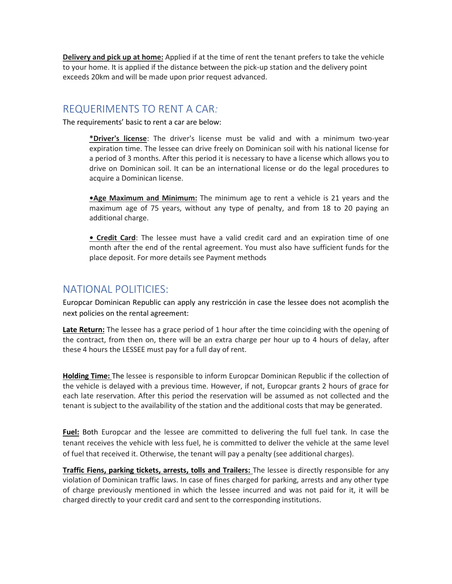**Delivery and pick up at home:** Applied if at the time of rent the tenant prefers to take the vehicle to your home. It is applied if the distance between the pick-up station and the delivery point exceeds 20km and will be made upon prior request advanced.

#### REQUERIMENTS TO RENT A CAR*:*

The requirements' basic to rent a car are below:

**\*Driver's license**: The driver's license must be valid and with a minimum two-year expiration time. The lessee can drive freely on Dominican soil with his national license for a period of 3 months. After this period it is necessary to have a license which allows you to drive on Dominican soil. It can be an international license or do the legal procedures to acquire a Dominican license.

**•Age Maximum and Minimum:** The minimum age to rent a vehicle is 21 years and the maximum age of 75 years, without any type of penalty, and from 18 to 20 paying an additional charge.

**• Credit Card**: The lessee must have a valid credit card and an expiration time of one month after the end of the rental agreement. You must also have sufficient funds for the place deposit. For more details see Payment methods

#### NATIONAL POLITICIES:

Europcar Dominican Republic can apply any restricción in case the lessee does not acomplish the next policies on the rental agreement:

**Late Return:** The lessee has a grace period of 1 hour after the time coinciding with the opening of the contract, from then on, there will be an extra charge per hour up to 4 hours of delay, after these 4 hours the LESSEE must pay for a full day of rent.

**Holding Time:** The lessee is responsible to inform Europcar Dominican Republic if the collection of the vehicle is delayed with a previous time. However, if not, Europcar grants 2 hours of grace for each late reservation. After this period the reservation will be assumed as not collected and the tenant is subject to the availability of the station and the additional costs that may be generated.

**Fuel:** Both Europcar and the lessee are committed to delivering the full fuel tank. In case the tenant receives the vehicle with less fuel, he is committed to deliver the vehicle at the same level of fuel that received it. Otherwise, the tenant will pay a penalty (see additional charges).

**Traffic Fiens, parking tickets, arrests, tolls and Trailers:** The lessee is directly responsible for any violation of Dominican traffic laws. In case of fines charged for parking, arrests and any other type of charge previously mentioned in which the lessee incurred and was not paid for it, it will be charged directly to your credit card and sent to the corresponding institutions.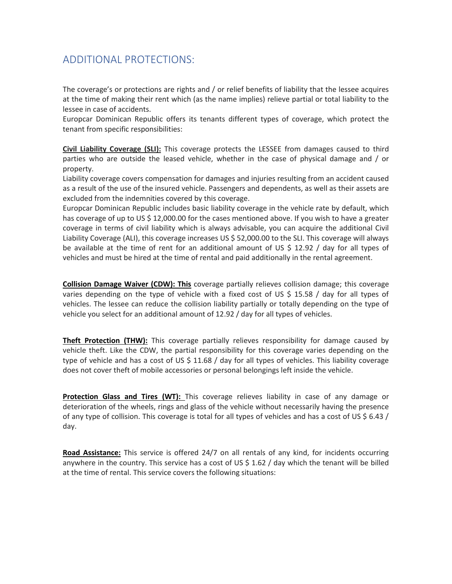## ADDITIONAL PROTECTIONS:

The coverage's or protections are rights and / or relief benefits of liability that the lessee acquires at the time of making their rent which (as the name implies) relieve partial or total liability to the lessee in case of accidents.

Europcar Dominican Republic offers its tenants different types of coverage, which protect the tenant from specific responsibilities:

**Civil Liability Coverage (SLI):** This coverage protects the LESSEE from damages caused to third parties who are outside the leased vehicle, whether in the case of physical damage and / or property.

Liability coverage covers compensation for damages and injuries resulting from an accident caused as a result of the use of the insured vehicle. Passengers and dependents, as well as their assets are excluded from the indemnities covered by this coverage.

Europcar Dominican Republic includes basic liability coverage in the vehicle rate by default, which has coverage of up to US \$ 12,000.00 for the cases mentioned above. If you wish to have a greater coverage in terms of civil liability which is always advisable, you can acquire the additional Civil Liability Coverage (ALI), this coverage increases US \$ 52,000.00 to the SLI. This coverage will always be available at the time of rent for an additional amount of US \$ 12.92 / day for all types of vehicles and must be hired at the time of rental and paid additionally in the rental agreement.

**Collision Damage Waiver (CDW): This** coverage partially relieves collision damage; this coverage varies depending on the type of vehicle with a fixed cost of US \$ 15.58 / day for all types of vehicles. The lessee can reduce the collision liability partially or totally depending on the type of vehicle you select for an additional amount of 12.92 / day for all types of vehicles.

**Theft Protection (THW):** This coverage partially relieves responsibility for damage caused by vehicle theft. Like the CDW, the partial responsibility for this coverage varies depending on the type of vehicle and has a cost of US \$ 11.68 / day for all types of vehicles. This liability coverage does not cover theft of mobile accessories or personal belongings left inside the vehicle.

**Protection Glass and Tires (WT):** This coverage relieves liability in case of any damage or deterioration of the wheels, rings and glass of the vehicle without necessarily having the presence of any type of collision. This coverage is total for all types of vehicles and has a cost of US \$ 6.43 / day.

**Road Assistance:** This service is offered 24/7 on all rentals of any kind, for incidents occurring anywhere in the country. This service has a cost of US \$ 1.62 / day which the tenant will be billed at the time of rental. This service covers the following situations: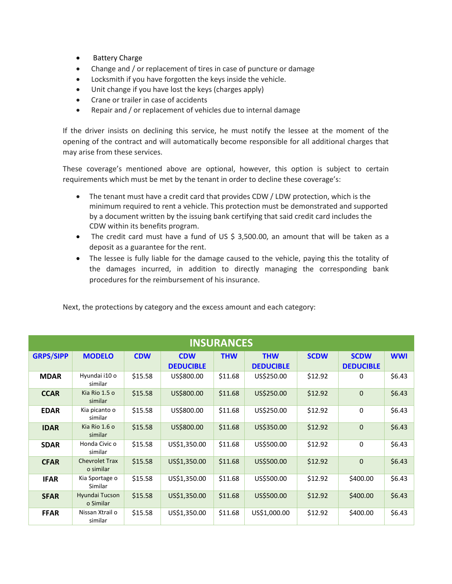- Battery Charge
- Change and / or replacement of tires in case of puncture or damage
- Locksmith if you have forgotten the keys inside the vehicle.
- Unit change if you have lost the keys (charges apply)
- Crane or trailer in case of accidents
- Repair and / or replacement of vehicles due to internal damage

If the driver insists on declining this service, he must notify the lessee at the moment of the opening of the contract and will automatically become responsible for all additional charges that may arise from these services.

These coverage's mentioned above are optional, however, this option is subject to certain requirements which must be met by the tenant in order to decline these coverage's:

- The tenant must have a credit card that provides CDW / LDW protection, which is the minimum required to rent a vehicle. This protection must be demonstrated and supported by a document written by the issuing bank certifying that said credit card includes the CDW within its benefits program.
- The credit card must have a fund of US \$ 3,500.00, an amount that will be taken as a deposit as a guarantee for the rent.
- The lessee is fully liable for the damage caused to the vehicle, paying this the totality of the damages incurred, in addition to directly managing the corresponding bank procedures for the reimbursement of his insurance.

| <b>INSURANCES</b> |                                    |            |                                |            |                                |             |                                 |            |  |
|-------------------|------------------------------------|------------|--------------------------------|------------|--------------------------------|-------------|---------------------------------|------------|--|
| <b>GRPS/SIPP</b>  | <b>MODELO</b>                      | <b>CDW</b> | <b>CDW</b><br><b>DEDUCIBLE</b> | <b>THW</b> | <b>THW</b><br><b>DEDUCIBLE</b> | <b>SCDW</b> | <b>SCDW</b><br><b>DEDUCIBLE</b> | <b>WWI</b> |  |
| <b>MDAR</b>       | Hyundai i10 o<br>similar           | \$15.58    | US\$800.00                     | \$11.68    | US\$250.00                     | \$12.92     | 0                               | \$6.43     |  |
| <b>CCAR</b>       | Kia Rio 1.5 o<br>similar           | \$15.58    | US\$800.00                     | \$11.68    | US\$250.00                     | \$12.92     | $\mathbf 0$                     | \$6.43     |  |
| <b>EDAR</b>       | Kia picanto o<br>similar           | \$15.58    | US\$800.00                     | \$11.68    | US\$250.00                     | \$12.92     | 0                               | \$6.43     |  |
| <b>IDAR</b>       | Kia Rio 1.6 o<br>similar           | \$15.58    | US\$800.00                     | \$11.68    | US\$350.00                     | \$12.92     | $\mathbf{0}$                    | \$6.43     |  |
| <b>SDAR</b>       | Honda Civic o<br>similar           | \$15.58    | US\$1,350.00                   | \$11.68    | US\$500.00                     | \$12.92     | 0                               | \$6.43     |  |
| <b>CFAR</b>       | <b>Chevrolet Trax</b><br>o similar | \$15.58    | US\$1,350.00                   | \$11.68    | US\$500.00                     | \$12.92     | $\mathbf 0$                     | \$6.43     |  |
| <b>IFAR</b>       | Kia Sportage o<br>Similar          | \$15.58    | US\$1,350.00                   | \$11.68    | US\$500.00                     | \$12.92     | \$400.00                        | \$6.43     |  |
| <b>SFAR</b>       | Hyundai Tucson<br>o Similar        | \$15.58    | US\$1,350.00                   | \$11.68    | US\$500.00                     | \$12.92     | \$400.00                        | \$6.43     |  |
| <b>FFAR</b>       | Nissan Xtrail o<br>similar         | \$15.58    | US\$1,350.00                   | \$11.68    | US\$1,000.00                   | \$12.92     | \$400.00                        | \$6.43     |  |

Next, the protections by category and the excess amount and each category: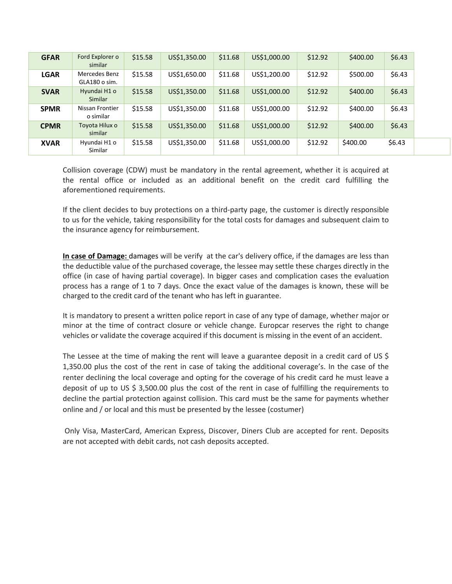| <b>GFAR</b> | Ford Explorer o<br>similar     | \$15.58 | US\$1,350.00 | \$11.68 | US\$1,000.00 | \$12.92 | \$400.00 | \$6.43 |
|-------------|--------------------------------|---------|--------------|---------|--------------|---------|----------|--------|
| <b>LGAR</b> | Mercedes Benz<br>GLA180 o sim. | \$15.58 | US\$1,650.00 | \$11.68 | US\$1,200.00 | \$12.92 | \$500.00 | \$6.43 |
| <b>SVAR</b> | Hyundai H1 o<br><b>Similar</b> | \$15.58 | US\$1,350.00 | \$11.68 | US\$1,000.00 | \$12.92 | \$400.00 | \$6.43 |
| <b>SPMR</b> | Nissan Frontier<br>o similar   | \$15.58 | US\$1,350.00 | \$11.68 | US\$1,000.00 | \$12.92 | \$400.00 | \$6.43 |
| <b>CPMR</b> | Toyota Hilux o<br>similar      | \$15.58 | US\$1,350.00 | \$11.68 | US\$1,000.00 | \$12.92 | \$400.00 | \$6.43 |
| <b>XVAR</b> | Hyundai H1 o<br>Similar        | \$15.58 | US\$1,350.00 | \$11.68 | US\$1,000.00 | \$12.92 | \$400.00 | \$6.43 |

Collision coverage (CDW) must be mandatory in the rental agreement, whether it is acquired at the rental office or included as an additional benefit on the credit card fulfilling the aforementioned requirements.

If the client decides to buy protections on a third-party page, the customer is directly responsible to us for the vehicle, taking responsibility for the total costs for damages and subsequent claim to the insurance agency for reimbursement.

**In case of Damage:** damages will be verify at the car's delivery office, if the damages are less than the deductible value of the purchased coverage, the lessee may settle these charges directly in the office (in case of having partial coverage). In bigger cases and complication cases the evaluation process has a range of 1 to 7 days. Once the exact value of the damages is known, these will be charged to the credit card of the tenant who has left in guarantee.

It is mandatory to present a written police report in case of any type of damage, whether major or minor at the time of contract closure or vehicle change. Europcar reserves the right to change vehicles or validate the coverage acquired if this document is missing in the event of an accident.

The Lessee at the time of making the rent will leave a guarantee deposit in a credit card of US\$ 1,350.00 plus the cost of the rent in case of taking the additional coverage's. In the case of the renter declining the local coverage and opting for the coverage of his credit card he must leave a deposit of up to US \$ 3,500.00 plus the cost of the rent in case of fulfilling the requirements to decline the partial protection against collision. This card must be the same for payments whether online and / or local and this must be presented by the lessee (costumer)

Only Visa, MasterCard, American Express, Discover, Diners Club are accepted for rent. Deposits are not accepted with debit cards, not cash deposits accepted.